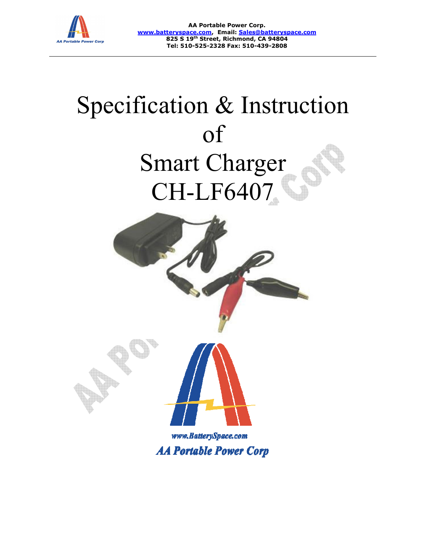

**www.batteryspace.com www.batteryspace.com, Email: Sales@batteryspace.com AA Portable Power Corp. 825 S 19th Street, Richmond, CA 94804 Tel: 510-525-2328 Fax: 510-439-2808**

# Specification & Instruction Smart Smart Charger CH CH-LF6407 of



**AA Portable Power Corp**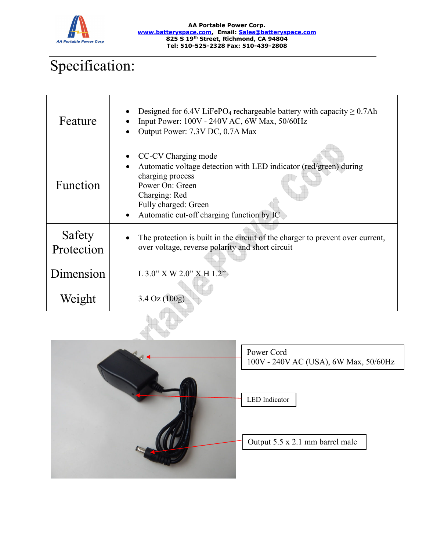

#### **AA Portable Power Corp. www.batteryspace.com, Email: Sales@batteryspace.com 825 S 19th Street, Richmond, CA 94804 Tel: 510-525-2328 Fax: 510-439-2808**

## Specification:

| Feature              | Designed for 6.4V LiFePO <sub>4</sub> rechargeable battery with capacity $\geq 0.7$ Ah<br>Input Power: 100V - 240V AC, 6W Max, 50/60Hz<br>Output Power: 7.3V DC, 0.7A Max                                                          |
|----------------------|------------------------------------------------------------------------------------------------------------------------------------------------------------------------------------------------------------------------------------|
| Function             | CC-CV Charging mode<br>Automatic voltage detection with LED indicator (red/green) during<br>charging process<br>Power On: Green<br>Charging: Red<br>Fully charged: Green<br>Automatic cut-off charging function by IC<br>$\bullet$ |
| Safety<br>Protection | The protection is built in the circuit of the charger to prevent over current,<br>over voltage, reverse polarity and short circuit                                                                                                 |
| Dimension            | $L$ 3.0" X W 2.0" X H 1.2"                                                                                                                                                                                                         |
| Weight               | $3.4 \text{ Oz} (100g)$                                                                                                                                                                                                            |



| Power Cord                            |  |
|---------------------------------------|--|
| 100V - 240V AC (USA), 6W Max, 50/60Hz |  |

LED Indicator

Output 5.5 x 2.1 mm barrel male